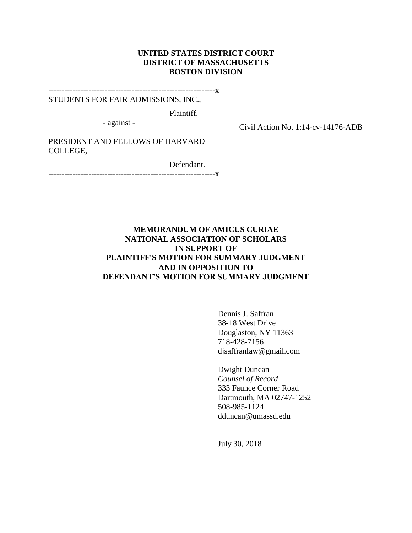## **UNITED STATES DISTRICT COURT DISTRICT OF MASSACHUSETTS BOSTON DIVISION**

--------------------------------------------------------------x

STUDENTS FOR FAIR ADMISSIONS, INC.,

Plaintiff,

- against -

Civil Action No. 1:14-cv-14176-ADB

PRESIDENT AND FELLOWS OF HARVARD COLLEGE,

Defendant.

--------------------<mark>x</mark>

## **MEMORANDUM OF AMICUS CURIAE NATIONAL ASSOCIATION OF SCHOLARS IN SUPPORT OF PLAINTIFF'S MOTION FOR SUMMARY JUDGMENT AND IN OPPOSITION TO DEFENDANT'S MOTION FOR SUMMARY JUDGMENT**

Dennis J. Saffran 38-18 West Drive Douglaston, NY 11363 718-428-7156 djsaffranlaw@gmail.com

Dwight Duncan *Counsel of Record* 333 Faunce Corner Road Dartmouth, MA 02747-1252 508-985-1124 dduncan@umassd.edu

July 30, 2018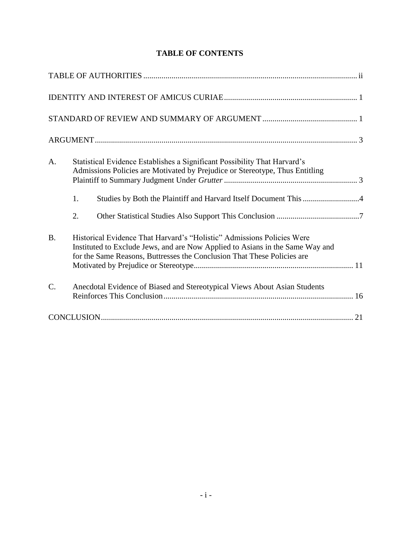| A.        | Statistical Evidence Establishes a Significant Possibility That Harvard's<br>Admissions Policies are Motivated by Prejudice or Stereotype, Thus Entitling                                                                          |  |
|-----------|------------------------------------------------------------------------------------------------------------------------------------------------------------------------------------------------------------------------------------|--|
|           | Studies by Both the Plaintiff and Harvard Itself Document This 4<br>1.                                                                                                                                                             |  |
|           | 2.                                                                                                                                                                                                                                 |  |
| <b>B.</b> | Historical Evidence That Harvard's "Holistic" Admissions Policies Were<br>Instituted to Exclude Jews, and are Now Applied to Asians in the Same Way and<br>for the Same Reasons, Buttresses the Conclusion That These Policies are |  |
| C.        | Anecdotal Evidence of Biased and Stereotypical Views About Asian Students                                                                                                                                                          |  |
|           |                                                                                                                                                                                                                                    |  |

## **TABLE OF CONTENTS**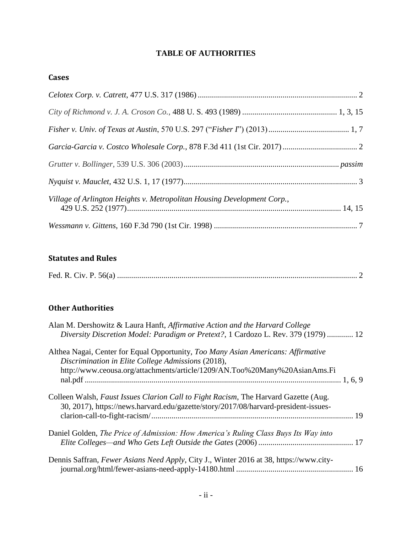# **TABLE OF AUTHORITIES**

## <span id="page-2-0"></span>**Cases**

| Village of Arlington Heights v. Metropolitan Housing Development Corp., |  |
|-------------------------------------------------------------------------|--|
|                                                                         |  |

## **Statutes and Rules**

## **Other Authorities**

| Alan M. Dershowitz & Laura Hanft, Affirmative Action and the Harvard College<br>Diversity Discretion Model: Paradigm or Pretext?, 1 Cardozo L. Rev. 379 (1979)  12                                                    |  |
|-----------------------------------------------------------------------------------------------------------------------------------------------------------------------------------------------------------------------|--|
| Althea Nagai, Center for Equal Opportunity, Too Many Asian Americans: Affirmative<br>Discrimination in Elite College Admissions (2018),<br>http://www.ceousa.org/attachments/article/1209/AN.Too%20Many%20AsianAms.Fi |  |
| Colleen Walsh, Faust Issues Clarion Call to Fight Racism, The Harvard Gazette (Aug.<br>30, 2017), https://news.harvard.edu/gazette/story/2017/08/harvard-president-issues-                                            |  |
| Daniel Golden, <i>The Price of Admission: How America's Ruling Class Buys Its Way into</i>                                                                                                                            |  |
| Dennis Saffran, Fewer Asians Need Apply, City J., Winter 2016 at 38, https://www.city-                                                                                                                                |  |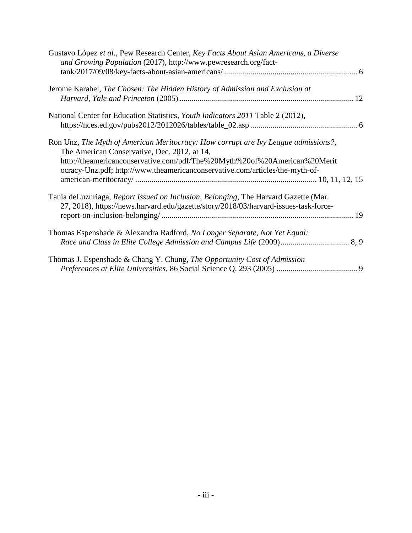| Gustavo López et al., Pew Research Center, Key Facts About Asian Americans, a Diverse<br>and Growing Population (2017), http://www.pewresearch.org/fact-                                                                                                                                        |
|-------------------------------------------------------------------------------------------------------------------------------------------------------------------------------------------------------------------------------------------------------------------------------------------------|
| Jerome Karabel, The Chosen: The Hidden History of Admission and Exclusion at                                                                                                                                                                                                                    |
| National Center for Education Statistics, <i>Youth Indicators 2011</i> Table 2 (2012),                                                                                                                                                                                                          |
| Ron Unz, The Myth of American Meritocracy: How corrupt are Ivy League admissions?,<br>The American Conservative, Dec. 2012, at 14,<br>http://theamericanconservative.com/pdf/The%20Myth%20of%20American%20Merit<br>ocracy-Unz.pdf; http://www.theamericanconservative.com/articles/the-myth-of- |
| Tania deLuzuriaga, Report Issued on Inclusion, Belonging, The Harvard Gazette (Mar.<br>27, 2018), https://news.harvard.edu/gazette/story/2018/03/harvard-issues-task-force-                                                                                                                     |
| Thomas Espenshade & Alexandra Radford, No Longer Separate, Not Yet Equal:                                                                                                                                                                                                                       |
| Thomas J. Espenshade & Chang Y. Chung, The Opportunity Cost of Admission                                                                                                                                                                                                                        |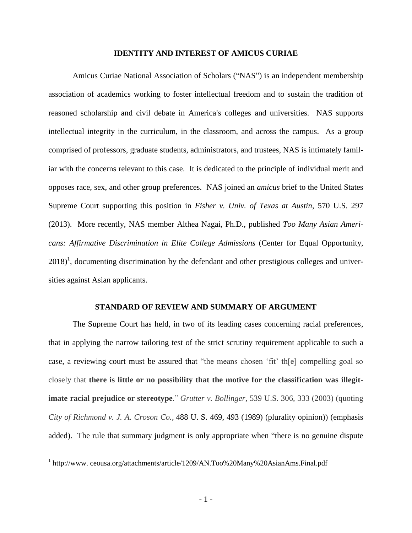#### <span id="page-4-0"></span>**IDENTITY AND INTEREST OF AMICUS CURIAE**

Amicus Curiae National Association of Scholars ("NAS") is an independent membership association of academics working to foster intellectual freedom and to sustain the tradition of reasoned scholarship and civil debate in America's colleges and universities. NAS supports intellectual integrity in the curriculum, in the classroom, and across the campus. As a group comprised of professors, graduate students, administrators, and trustees, NAS is intimately familiar with the concerns relevant to this case. It is dedicated to the principle of individual merit and opposes race, sex, and other group preferences. NAS joined an *amicus* brief to the United States Supreme Court supporting this position in *Fisher v. Univ. of Texas at Austin*, 570 U.S. 297 (2013). More recently, NAS member Althea Nagai, Ph.D., published *Too Many Asian Americans: Affirmative Discrimination in Elite College Admissions* (Center for Equal Opportunity,  $2018$ <sup>1</sup>, documenting discrimination by the defendant and other prestigious colleges and universities against Asian applicants.

#### **STANDARD OF REVIEW AND SUMMARY OF ARGUMENT**

<span id="page-4-1"></span>The Supreme Court has held, in two of its leading cases concerning racial preferences, that in applying the narrow tailoring test of the strict scrutiny requirement applicable to such a case, a reviewing court must be assured that "the means chosen 'fit' th[e] compelling goal so closely that **there is little or no possibility that the motive for the classification was illegitimate racial prejudice or stereotype**." *Grutter v. Bollinger*, 539 U.S. 306, 333 (2003) (quoting *City of Richmond v. J. A. Croson Co.*, 488 U. S. 469, 493 (1989) (plurality opinion)) (emphasis added). The rule that summary judgment is only appropriate when "there is no genuine dispute

<sup>&</sup>lt;sup>1</sup> http://www.ceousa.org/attachments/article/1209/AN.Too%20Many%20AsianAms.Final.pdf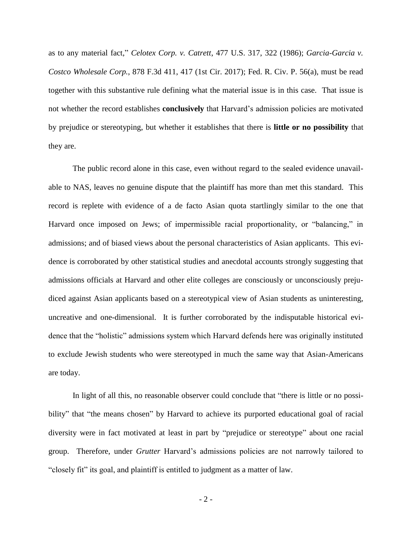as to any material fact," *Celotex Corp. v. Catrett*, 477 U.S. 317, 322 (1986); *Garcia-Garcia v. Costco Wholesale Corp.*, 878 F.3d 411, 417 (1st Cir. 2017); Fed. R. Civ. P. 56(a), must be read together with this substantive rule defining what the material issue is in this case. That issue is not whether the record establishes **conclusively** that Harvard's admission policies are motivated by prejudice or stereotyping, but whether it establishes that there is **little or no possibility** that they are.

The public record alone in this case, even without regard to the sealed evidence unavailable to NAS, leaves no genuine dispute that the plaintiff has more than met this standard. This record is replete with evidence of a de facto Asian quota startlingly similar to the one that Harvard once imposed on Jews; of impermissible racial proportionality, or "balancing," in admissions; and of biased views about the personal characteristics of Asian applicants. This evidence is corroborated by other statistical studies and anecdotal accounts strongly suggesting that admissions officials at Harvard and other elite colleges are consciously or unconsciously prejudiced against Asian applicants based on a stereotypical view of Asian students as uninteresting, uncreative and one-dimensional. It is further corroborated by the indisputable historical evidence that the "holistic" admissions system which Harvard defends here was originally instituted to exclude Jewish students who were stereotyped in much the same way that Asian-Americans are today.

In light of all this, no reasonable observer could conclude that "there is little or no possibility" that "the means chosen" by Harvard to achieve its purported educational goal of racial diversity were in fact motivated at least in part by "prejudice or stereotype" about one racial group. Therefore, under *Grutter* Harvard's admissions policies are not narrowly tailored to "closely fit" its goal, and plaintiff is entitled to judgment as a matter of law.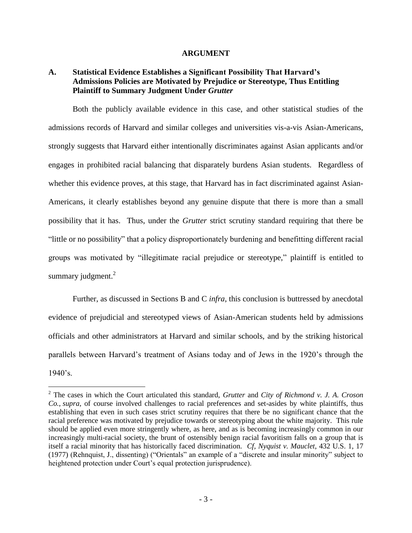#### **ARGUMENT**

## <span id="page-6-1"></span><span id="page-6-0"></span>**A. Statistical Evidence Establishes a Significant Possibility That Harvard's Admissions Policies are Motivated by Prejudice or Stereotype, Thus Entitling Plaintiff to Summary Judgment Under** *Grutter*

Both the publicly available evidence in this case, and other statistical studies of the admissions records of Harvard and similar colleges and universities vis-a-vis Asian-Americans, strongly suggests that Harvard either intentionally discriminates against Asian applicants and/or engages in prohibited racial balancing that disparately burdens Asian students. Regardless of whether this evidence proves, at this stage, that Harvard has in fact discriminated against Asian-Americans, it clearly establishes beyond any genuine dispute that there is more than a small possibility that it has. Thus, under the *Grutter* strict scrutiny standard requiring that there be "little or no possibility" that a policy disproportionately burdening and benefitting different racial groups was motivated by "illegitimate racial prejudice or stereotype," plaintiff is entitled to summary judgment. $2$ 

Further, as discussed in Sections B and C *infra*, this conclusion is buttressed by anecdotal evidence of prejudicial and stereotyped views of Asian-American students held by admissions officials and other administrators at Harvard and similar schools, and by the striking historical parallels between Harvard's treatment of Asians today and of Jews in the 1920's through the 1940's.

<sup>2</sup> The cases in which the Court articulated this standard, *Grutter* and *City of Richmond v. J. A. Croson Co.*, *supra*, of course involved challenges to racial preferences and set-asides by white plaintiffs, thus establishing that even in such cases strict scrutiny requires that there be no significant chance that the racial preference was motivated by prejudice towards or stereotyping about the white majority. This rule should be applied even more stringently where, as here, and as is becoming increasingly common in our increasingly multi-racial society, the brunt of ostensibly benign racial favoritism falls on a group that is itself a racial minority that has historically faced discrimination. *Cf, Nyquist v. Mauclet*, 432 U.S. 1, 17 (1977) (Rehnquist, J., dissenting) ("Orientals" an example of a "discrete and insular minority" subject to heightened protection under Court's equal protection jurisprudence).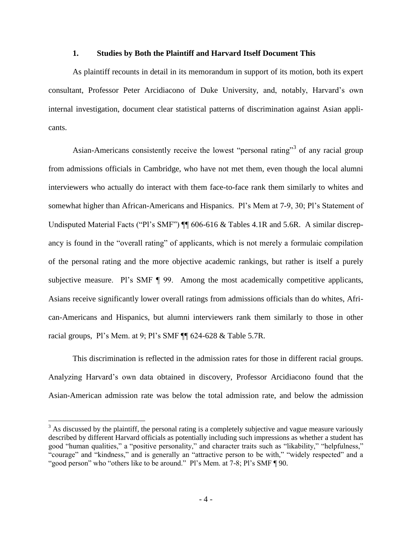#### **1. Studies by Both the Plaintiff and Harvard Itself Document This**

<span id="page-7-0"></span>As plaintiff recounts in detail in its memorandum in support of its motion, both its expert consultant, Professor Peter Arcidiacono of Duke University, and, notably, Harvard's own internal investigation, document clear statistical patterns of discrimination against Asian applicants.

Asian-Americans consistently receive the lowest "personal rating"<sup>3</sup> of any racial group from admissions officials in Cambridge, who have not met them, even though the local alumni interviewers who actually do interact with them face-to-face rank them similarly to whites and somewhat higher than African-Americans and Hispanics. Pl's Mem at 7-9, 30; Pl's Statement of Undisputed Material Facts ("Pl's SMF")  $\P$  606-616 & Tables 4.1R and 5.6R. A similar discrepancy is found in the "overall rating" of applicants, which is not merely a formulaic compilation of the personal rating and the more objective academic rankings, but rather is itself a purely subjective measure. Pl's SMF  $\parallel$  99. Among the most academically competitive applicants, Asians receive significantly lower overall ratings from admissions officials than do whites, African-Americans and Hispanics, but alumni interviewers rank them similarly to those in other racial groups, Pl's Mem. at 9; Pl's SMF ¶¶ 624-628 & Table 5.7R.

This discrimination is reflected in the admission rates for those in different racial groups. Analyzing Harvard's own data obtained in discovery, Professor Arcidiacono found that the Asian-American admission rate was below the total admission rate, and below the admission

 $3$  As discussed by the plaintiff, the personal rating is a completely subjective and vague measure variously described by different Harvard officials as potentially including such impressions as whether a student has good "human qualities," a "positive personality," and character traits such as "likability," "helpfulness," "courage" and "kindness," and is generally an "attractive person to be with," "widely respected" and a "good person" who "others like to be around." Pl's Mem. at 7-8; Pl's SMF ¶ 90.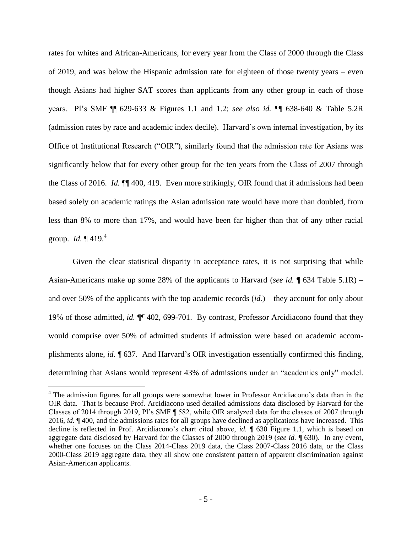<span id="page-8-0"></span>rates for whites and African-Americans, for every year from the Class of 2000 through the Class of 2019, and was below the Hispanic admission rate for eighteen of those twenty years – even though Asians had higher SAT scores than applicants from any other group in each of those years. Pl's SMF ¶¶ 629-633 & Figures 1.1 and 1.2; *see also id.* ¶¶ 638-640 & Table 5.2R (admission rates by race and academic index decile). Harvard's own internal investigation, by its Office of Institutional Research ("OIR"), similarly found that the admission rate for Asians was significantly below that for every other group for the ten years from the Class of 2007 through the Class of 2016. *Id.* ¶¶ 400, 419. Even more strikingly, OIR found that if admissions had been based solely on academic ratings the Asian admission rate would have more than doubled, from less than 8% to more than 17%, and would have been far higher than that of any other racial group. *Id.* ¶ 419.<sup>4</sup>

Given the clear statistical disparity in acceptance rates, it is not surprising that while Asian-Americans make up some 28% of the applicants to Harvard (*see id.* ¶ 634 Table 5.1R) – and over 50% of the applicants with the top academic records (*id.*) – they account for only about 19% of those admitted, *id.* ¶¶ 402, 699-701. By contrast, Professor Arcidiacono found that they would comprise over 50% of admitted students if admission were based on academic accomplishments alone, *id.* ¶ 637. And Harvard's OIR investigation essentially confirmed this finding, determining that Asians would represent 43% of admissions under an "academics only" model.

<sup>&</sup>lt;sup>4</sup> The admission figures for all groups were somewhat lower in Professor Arcidiacono's data than in the OIR data. That is because Prof. Arcidiacono used detailed admissions data disclosed by Harvard for the Classes of 2014 through 2019, Pl's SMF ¶ 582, while OIR analyzed data for the classes of 2007 through 2016, *id.* ¶ 400, and the admissions rates for all groups have declined as applications have increased. This decline is reflected in Prof. Arcidiacono's chart cited above, *id.* ¶ 630 Figure 1.1, which is based on aggregate data disclosed by Harvard for the Classes of 2000 through 2019 (*see id.* ¶ 630). In any event, whether one focuses on the Class 2014-Class 2019 data, the Class 2007-Class 2016 data, or the Class 2000-Class 2019 aggregate data, they all show one consistent pattern of apparent discrimination against Asian-American applicants.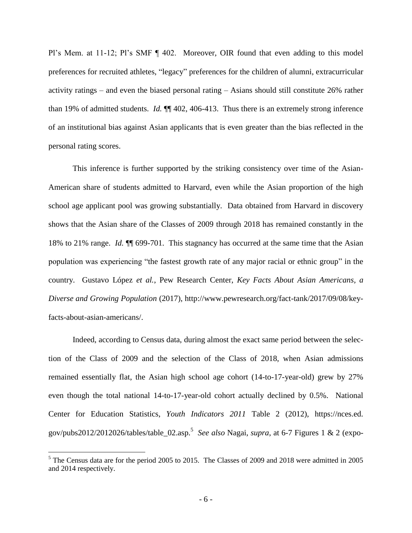Pl's Mem. at 11-12; Pl's SMF ¶ 402. Moreover, OIR found that even adding to this model preferences for recruited athletes, "legacy" preferences for the children of alumni, extracurricular activity ratings – and even the biased personal rating – Asians should still constitute 26% rather than 19% of admitted students. *Id.* ¶¶ 402, 406-413. Thus there is an extremely strong inference of an institutional bias against Asian applicants that is even greater than the bias reflected in the personal rating scores.

This inference is further supported by the striking consistency over time of the Asian-American share of students admitted to Harvard, even while the Asian proportion of the high school age applicant pool was growing substantially. Data obtained from Harvard in discovery shows that the Asian share of the Classes of 2009 through 2018 has remained constantly in the 18% to 21% range. *Id.* ¶¶ 699-701. This stagnancy has occurred at the same time that the Asian population was experiencing "the fastest growth rate of any major racial or ethnic group" in the country. Gustavo López *et al.*, Pew Research Center, *Key Facts About Asian Americans, a Diverse and Growing Population* (2017), http://www.pewresearch.org/fact-tank/2017/09/08/keyfacts-about-asian-americans/.

Indeed, according to Census data, during almost the exact same period between the selection of the Class of 2009 and the selection of the Class of 2018, when Asian admissions remained essentially flat, the Asian high school age cohort (14-to-17-year-old) grew by 27% even though the total national 14-to-17-year-old cohort actually declined by 0.5%. National Center for Education Statistics, *Youth Indicators 2011* Table 2 (2012), https://nces.ed. gov/pubs2012/2012026/tables/table\_02.asp.<sup>5</sup> *See also* Nagai, *supra*, at 6-7 Figures 1 & 2 (expo-

<sup>5</sup> The Census data are for the period 2005 to 2015. The Classes of 2009 and 2018 were admitted in 2005 and 2014 respectively.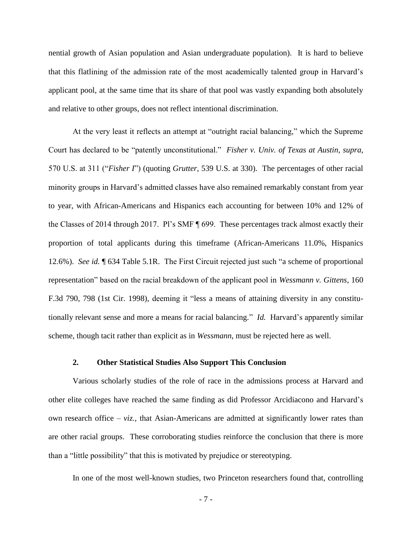nential growth of Asian population and Asian undergraduate population). It is hard to believe that this flatlining of the admission rate of the most academically talented group in Harvard's applicant pool, at the same time that its share of that pool was vastly expanding both absolutely and relative to other groups, does not reflect intentional discrimination.

At the very least it reflects an attempt at "outright racial balancing," which the Supreme Court has declared to be "patently unconstitutional." *Fisher v. Univ. of Texas at Austin*, *supra*, 570 U.S. at 311 ("*Fisher I*") (quoting *Grutter*, 539 U.S. at 330). The percentages of other racial minority groups in Harvard's admitted classes have also remained remarkably constant from year to year, with African-Americans and Hispanics each accounting for between 10% and 12% of the Classes of 2014 through 2017. Pl's SMF ¶ 699. These percentages track almost exactly their proportion of total applicants during this timeframe (African-Americans 11.0%, Hispanics 12.6%). *See id.* ¶ 634 Table 5.1R. The First Circuit rejected just such "a scheme of proportional representation" based on the racial breakdown of the applicant pool in *Wessmann v. Gittens*, 160 F.3d 790, 798 (1st Cir. 1998), deeming it "less a means of attaining diversity in any constitutionally relevant sense and more a means for racial balancing." *Id.* Harvard's apparently similar scheme, though tacit rather than explicit as in *Wessmann*, must be rejected here as well.

### **2. Other Statistical Studies Also Support This Conclusion**

<span id="page-10-0"></span>Various scholarly studies of the role of race in the admissions process at Harvard and other elite colleges have reached the same finding as did Professor Arcidiacono and Harvard's own research office – *viz.*, that Asian-Americans are admitted at significantly lower rates than are other racial groups. These corroborating studies reinforce the conclusion that there is more than a "little possibility" that this is motivated by prejudice or stereotyping.

In one of the most well-known studies, two Princeton researchers found that, controlling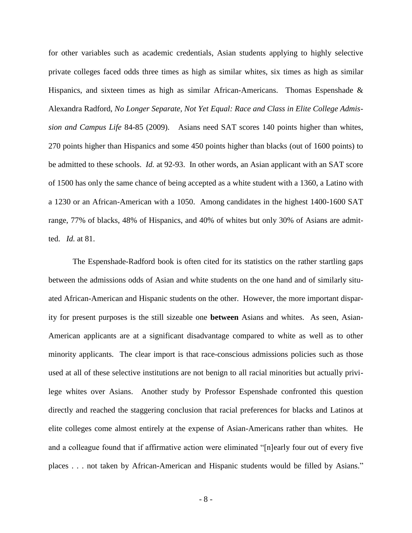for other variables such as academic credentials, Asian students applying to highly selective private colleges faced odds three times as high as similar whites, six times as high as similar Hispanics, and sixteen times as high as similar African-Americans. Thomas Espenshade & Alexandra Radford, *No Longer Separate, Not Yet Equal: Race and Class in Elite College Admission and Campus Life* 84-85 (2009). Asians need SAT scores 140 points higher than whites, 270 points higher than Hispanics and some 450 points higher than blacks (out of 1600 points) to be admitted to these schools. *Id.* at 92-93. In other words, an Asian applicant with an SAT score of 1500 has only the same chance of being accepted as a white student with a 1360, a Latino with a 1230 or an African-American with a 1050. Among candidates in the highest 1400-1600 SAT range, 77% of blacks, 48% of Hispanics, and 40% of whites but only 30% of Asians are admitted. *Id.* at 81.

The Espenshade-Radford book is often cited for its statistics on the rather startling gaps between the admissions odds of Asian and white students on the one hand and of similarly situated African-American and Hispanic students on the other. However, the more important disparity for present purposes is the still sizeable one **between** Asians and whites. As seen, Asian-American applicants are at a significant disadvantage compared to white as well as to other minority applicants. The clear import is that race-conscious admissions policies such as those used at all of these selective institutions are not benign to all racial minorities but actually privilege whites over Asians. Another [study](https://www.princeton.edu/~tje/files/Opportunity%20Cost%20of%20Admission%20Preferences%20Espenshade%20Chung%20June%202005.pdf) by Professor Espenshade confronted this question directly and reached the staggering conclusion that racial preferences for blacks and Latinos at elite colleges come almost entirely at the expense of Asian-Americans rather than whites. He and a colleague found that if affirmative action were eliminated "[n]early four out of every five places . . . not taken by African-American and Hispanic students would be filled by Asians."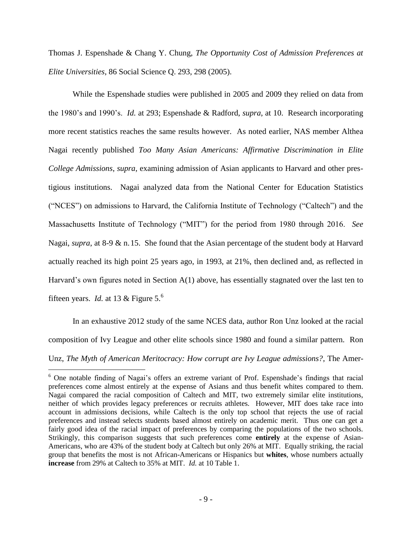Thomas J. Espenshade & Chang Y. Chung, *The Opportunity Cost of Admission Preferences at Elite Universities*, 86 Social Science Q. 293, 298 (2005).

While the Espenshade studies were published in 2005 and 2009 they relied on data from the 1980's and 1990's. *Id.* at 293; Espenshade & Radford, *supra*, at 10. Research incorporating more recent statistics reaches the same results however. As noted earlier, NAS member Althea Nagai recently published *Too Many Asian Americans: Affirmative Discrimination in Elite College Admissions*, *supra*, examining admission of Asian applicants to Harvard and other prestigious institutions. Nagai analyzed data from the National Center for Education Statistics ("NCES") on admissions to Harvard, the California Institute of Technology ("Caltech") and the Massachusetts Institute of Technology ("MIT") for the period from 1980 through 2016. *See* Nagai, *supra*, at 8-9 & n.15. She found that the Asian percentage of the student body at Harvard actually reached its high point 25 years ago, in 1993, at 21%, then declined and, as reflected in Harvard's own figures noted in Section A(1) above, has essentially stagnated over the last ten to fifteen years. *Id.* at 13 & Figure 5. 6

In an exhaustive 2012 study of the same NCES data, author Ron Unz looked at the racial composition of Ivy League and other elite schools since 1980 and found a similar pattern. Ron Unz, *The Myth of American Meritocracy: How corrupt are Ivy League admissions?*, The Amer-

<sup>&</sup>lt;sup>6</sup> One notable finding of Nagai's offers an extreme variant of Prof. Espenshade's findings that racial preferences come almost entirely at the expense of Asians and thus benefit whites compared to them. Nagai compared the racial composition of Caltech and MIT, two extremely similar elite institutions, neither of which provides legacy preferences or recruits athletes. However, MIT does take race into account in admissions decisions, while Caltech is the only top school that rejects the use of racial preferences and instead selects students based almost entirely on academic merit. Thus one can get a fairly good idea of the racial impact of preferences by comparing the populations of the two schools. Strikingly, this comparison suggests that such preferences come **entirely** at the expense of Asian-Americans, who are 43% of the student body at Caltech but only 26% at MIT. Equally striking, the racial group that benefits the most is not African-Americans or Hispanics but **whites**, whose numbers actually **increase** from 29% at Caltech to 35% at MIT. *Id.* at 10 Table 1.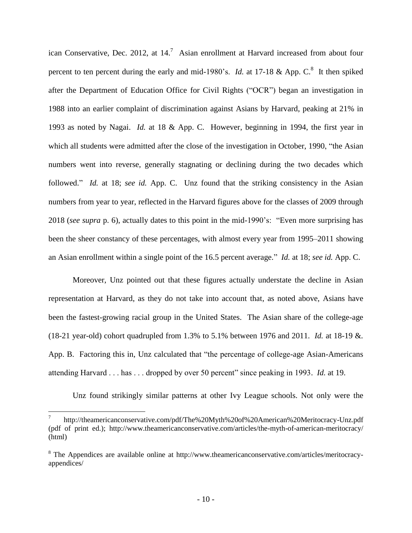<span id="page-13-0"></span>ican Conservative, Dec. 2012, at  $14$ .<sup>7</sup> Asian enrollment at Harvard increased from about four percent to ten percent during the early and mid-1980's. *Id.* at 17-18 & App.  $C^8$ . It then spiked after the Department of Education Office for Civil Rights ("OCR") began an investigation in 1988 into an earlier complaint of discrimination against Asians by Harvard, peaking at 21% in 1993 as noted by Nagai. *Id.* at 18 & App. C. However, beginning in 1994, the first year in which all students were admitted after the close of the investigation in October, 1990, "the Asian numbers went into reverse, generally stagnating or declining during the two decades which followed." *Id.* at 18; *see id.* App. C. Unz found that the striking consistency in the Asian numbers from year to year, reflected in the Harvard figures above for the classes of 2009 through 2018 (*see supra* p. 6), actually dates to this point in the mid-1990's: "Even more surprising has been the sheer constancy of these percentages, with almost every year from 1995–2011 showing an Asian enrollment within a single point of the 16.5 percent average." *Id.* at 18; *see id.* App. C.

Moreover, Unz pointed out that these figures actually understate the decline in Asian representation at Harvard, as they do not take into account that, as noted above, Asians have been the fastest-growing racial group in the United States. The Asian share of the college-age (18-21 year-old) cohort quadrupled from 1.3% to 5.1% between 1976 and 2011. *Id.* at 18-19 &*.* App. B. Factoring this in, Unz calculated that "the percentage of college-age Asian-Americans attending Harvard . . . has . . . dropped by over 50 percent" since peaking in 1993. *Id.* at 19.

Unz found strikingly similar patterns at other Ivy League schools. Not only were the

<sup>7</sup> http://theamericanconservative.com/pdf/The%20Myth%20of%20American%20Meritocracy-Unz.pdf (pdf of print ed.); http://www.theamericanconservative.com/articles/the-myth-of-american-meritocracy/ (html)

<sup>8</sup> The Appendices are available online at http://www.theamericanconservative.com/articles/meritocracyappendices/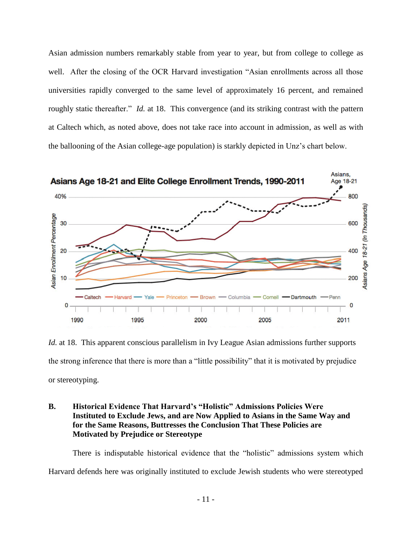Asian admission numbers remarkably stable from year to year, but from college to college as well. After the closing of the OCR Harvard investigation "Asian enrollments across all those universities rapidly converged to the same level of approximately 16 percent, and remained roughly static thereafter." *Id.* at 18. This convergence (and its striking contrast with the pattern at Caltech which, as noted above, does not take race into account in admission, as well as with the ballooning of the Asian college-age population) is starkly depicted in Unz's chart below.



*Id.* at 18. This apparent conscious parallelism in Ivy League Asian admissions further supports the strong inference that there is more than a "little possibility" that it is motivated by prejudice or stereotyping.

## <span id="page-14-0"></span>**B. Historical Evidence That Harvard's "Holistic" Admissions Policies Were Instituted to Exclude Jews, and are Now Applied to Asians in the Same Way and for the Same Reasons, Buttresses the Conclusion That These Policies are Motivated by Prejudice or Stereotype**

There is indisputable historical evidence that the "holistic" admissions system which Harvard defends here was originally instituted to exclude Jewish students who were stereotyped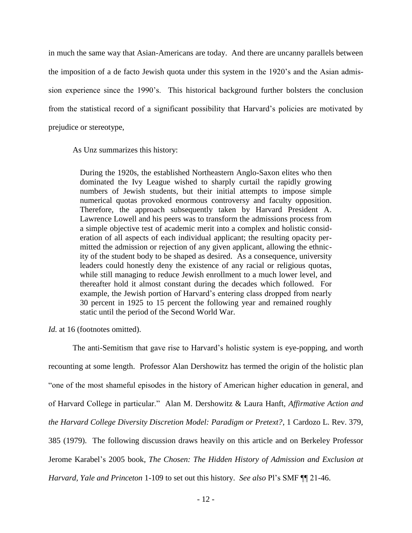in much the same way that Asian-Americans are today. And there are uncanny parallels between the imposition of a de facto Jewish quota under this system in the 1920's and the Asian admission experience since the 1990's. This historical background further bolsters the conclusion from the statistical record of a significant possibility that Harvard's policies are motivated by prejudice or stereotype,

As Unz summarizes this history:

During the 1920s, the established Northeastern Anglo-Saxon elites who then dominated the Ivy League wished to sharply curtail the rapidly growing numbers of Jewish students, but their initial attempts to impose simple numerical quotas provoked enormous controversy and faculty opposition. Therefore, the approach subsequently taken by Harvard President A. Lawrence Lowell and his peers was to transform the admissions process from a simple objective test of academic merit into a complex and holistic consideration of all aspects of each individual applicant; the resulting opacity permitted the admission or rejection of any given applicant, allowing the ethnicity of the student body to be shaped as desired. As a consequence, university leaders could honestly deny the existence of any racial or religious quotas, while still managing to reduce Jewish enrollment to a much lower level, and thereafter hold it almost constant during the decades which followed. For example, the Jewish portion of Harvard's entering class dropped from nearly 30 percent in 1925 to 15 percent the following year and remained roughly static until the period of the Second World War.

*Id.* at 16 (footnotes omitted).

The anti-Semitism that gave rise to Harvard's holistic system is eye-popping, and worth recounting at some length. Professor Alan Dershowitz has termed the origin of the holistic plan "one of the most shameful episodes in the history of American higher education in general, and of Harvard College in particular." Alan M. Dershowitz & Laura Hanft, *Affirmative Action and the Harvard College Diversity Discretion Model: Paradigm or Pretext?*, 1 Cardozo L. Rev. 379, 385 (1979). The following discussion draws heavily on this article and on Berkeley Professor Jerome Karabel's 2005 book, *The Chosen: The Hidden History of Admission and Exclusion at Harvard, Yale and Princeton* 1-109 to set out this history. *See also* Pl's SMF ¶¶ 21-46.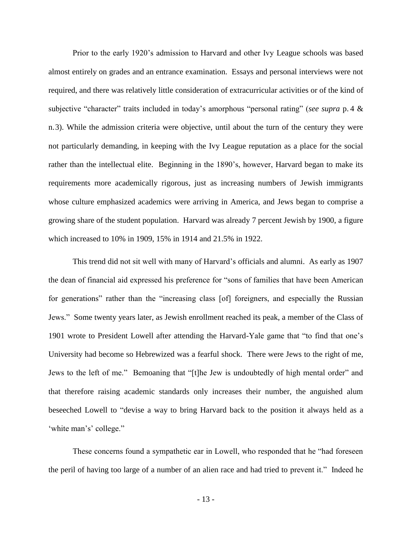Prior to the early 1920's admission to Harvard and other Ivy League schools was based almost entirely on grades and an entrance examination. Essays and personal interviews were not required, and there was relatively little consideration of extracurricular activities or of the kind of subjective "character" traits included in today's amorphous "personal rating" (*see supra* p. 4 & n.3). While the admission criteria were objective, until about the turn of the century they were not particularly demanding, in keeping with the Ivy League reputation as a place for the social rather than the intellectual elite. Beginning in the 1890's, however, Harvard began to make its requirements more academically rigorous, just as increasing numbers of Jewish immigrants whose culture emphasized academics were arriving in America, and Jews began to comprise a growing share of the student population. Harvard was already 7 percent Jewish by 1900, a figure which increased to 10% in 1909, 15% in 1914 and 21.5% in 1922.

<span id="page-16-0"></span>This trend did not sit well with many of Harvard's officials and alumni. As early as 1907 the dean of financial aid expressed his preference for "sons of families that have been American for generations" rather than the "increasing class [of] foreigners, and especially the Russian Jews." Some twenty years later, as Jewish enrollment reached its peak, a member of the Class of 1901 wrote to President Lowell after attending the Harvard-Yale game that "to find that one's University had become so Hebrewized was a fearful shock. There were Jews to the right of me, Jews to the left of me." Bemoaning that "[t]he Jew is undoubtedly of high mental order" and that therefore raising academic standards only increases their number, the anguished alum beseeched Lowell to "devise a way to bring Harvard back to the position it always held as a 'white man's' college."

These concerns found a sympathetic ear in Lowell, who responded that he "had foreseen the peril of having too large of a number of an alien race and had tried to prevent it." Indeed he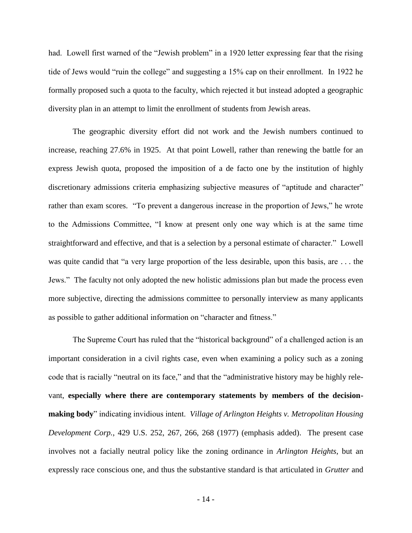had. Lowell first warned of the "Jewish problem" in a 1920 letter expressing fear that the rising tide of Jews would "ruin the college" and suggesting a 15% cap on their enrollment. In 1922 he formally proposed such a quota to the faculty, which rejected it but instead adopted a geographic diversity plan in an attempt to limit the enrollment of students from Jewish areas.

The geographic diversity effort did not work and the Jewish numbers continued to increase, reaching 27.6% in 1925. At that point Lowell, rather than renewing the battle for an express Jewish quota, proposed the imposition of a de facto one by the institution of highly discretionary admissions criteria emphasizing subjective measures of "aptitude and character" rather than exam scores. "To prevent a dangerous increase in the proportion of Jews," he wrote to the Admissions Committee, "I know at present only one way which is at the same time straightforward and effective, and that is a selection by a personal estimate of character." Lowell was quite candid that "a very large proportion of the less desirable, upon this basis, are ... the Jews." The faculty not only adopted the new holistic admissions plan but made the process even more subjective, directing the admissions committee to personally interview as many applicants as possible to gather additional information on "character and fitness."

The Supreme Court has ruled that the "historical background" of a challenged action is an important consideration in a civil rights case, even when examining a policy such as a zoning code that is racially "neutral on its face," and that the "administrative history may be highly relevant, **especially where there are contemporary statements by members of the decisionmaking body**" indicating invidious intent. *Village of Arlington Heights v. Metropolitan Housing Development Corp.*, 429 U.S. 252, 267, 266, 268 (1977) (emphasis added). The present case involves not a facially neutral policy like the zoning ordinance in *Arlington Heights*, but an expressly race conscious one, and thus the substantive standard is that articulated in *Grutter* and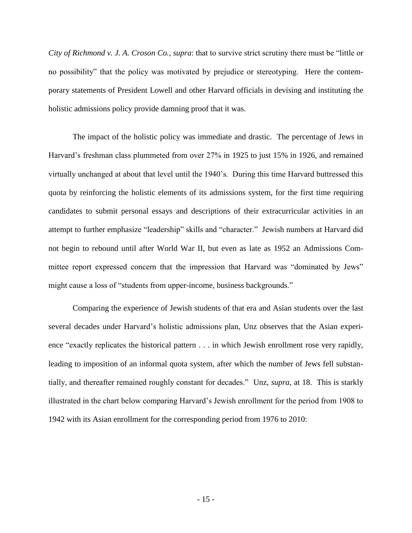*City of Richmond v. J. A. Croson Co.*, *supra*: that to survive strict scrutiny there must be "little or no possibility" that the policy was motivated by prejudice or stereotyping. Here the contemporary statements of President Lowell and other Harvard officials in devising and instituting the holistic admissions policy provide damning proof that it was.

The impact of the holistic policy was immediate and drastic. The percentage of Jews in Harvard's freshman class plummeted from over 27% in 1925 to just 15% in 1926, and remained virtually unchanged at about that level until the 1940's. During this time Harvard buttressed this quota by reinforcing the holistic elements of its admissions system, for the first time requiring candidates to submit personal essays and descriptions of their extracurricular activities in an attempt to further emphasize "leadership" skills and "character." Jewish numbers at Harvard did not begin to rebound until after World War II, but even as late as 1952 an Admissions Committee report expressed concern that the impression that Harvard was "dominated by Jews" might cause a loss of "students from upper-income, business backgrounds."

Comparing the experience of Jewish students of that era and Asian students over the last several decades under Harvard's holistic admissions plan, Unz observes that the Asian experience "exactly replicates the historical pattern . . . in which Jewish enrollment rose very rapidly, leading to imposition of an informal quota system, after which the number of Jews fell substantially, and thereafter remained roughly constant for decades." Unz, *supra*, at 18. This is starkly illustrated in the chart below comparing Harvard's Jewish enrollment for the period from 1908 to 1942 with its Asian enrollment for the corresponding period from 1976 to 2010: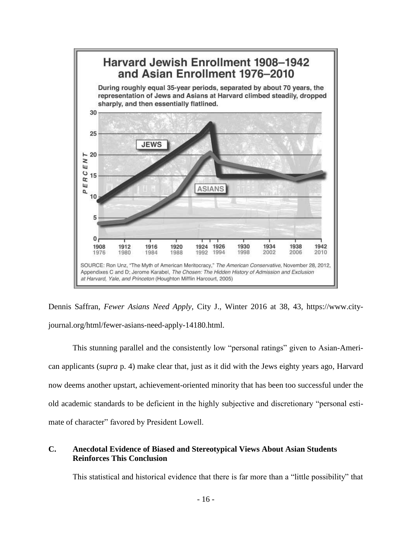

Dennis Saffran, *Fewer Asians Need Apply*, City J., Winter 2016 at 38, 43, https://www.cityjournal.org/html/fewer-asians-need-apply-14180.html.

This stunning parallel and the consistently low "personal ratings" given to Asian-American applicants (*supra* p. 4) make clear that, just as it did with the Jews eighty years ago, Harvard now deems another upstart, achievement-oriented minority that has been too successful under the old academic standards to be deficient in the highly subjective and discretionary "personal estimate of character" favored by President Lowell.

## <span id="page-19-0"></span>**C. Anecdotal Evidence of Biased and Stereotypical Views About Asian Students Reinforces This Conclusion**

This statistical and historical evidence that there is far more than a "little possibility" that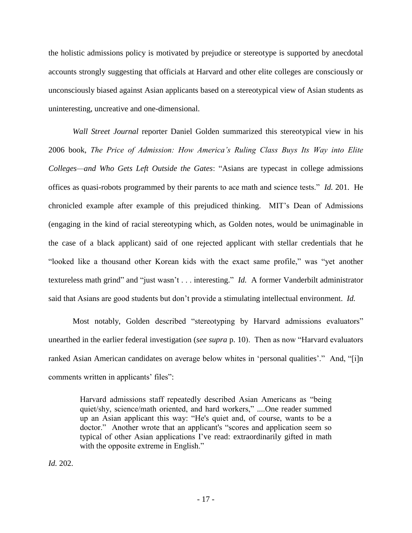the holistic admissions policy is motivated by prejudice or stereotype is supported by anecdotal accounts strongly suggesting that officials at Harvard and other elite colleges are consciously or unconsciously biased against Asian applicants based on a stereotypical view of Asian students as uninteresting, uncreative and one-dimensional.

*Wall Street Journal* reporter Daniel Golden summarized this stereotypical view in his 2006 book, *The Price of Admission: How America's Ruling Class Buys Its Way into Elite Colleges—and Who Gets Left Outside the Gates*: "Asians are typecast in college admissions offices as quasi-robots programmed by their parents to ace math and science tests." *Id.* 201. He chronicled example after example of this prejudiced thinking. MIT's Dean of Admissions (engaging in the kind of racial stereotyping which, as Golden notes, would be unimaginable in the case of a black applicant) said of one rejected applicant with stellar credentials that he "looked like a thousand other Korean kids with the exact same profile," was "yet another textureless math grind" and "just wasn't . . . interesting." *Id.* A former Vanderbilt administrator said that Asians are good students but don't provide a stimulating intellectual environment. *Id.*

Most notably, Golden described "stereotyping by Harvard admissions evaluators" unearthed in the earlier federal investigation (*see supra* p. [10\)](#page-13-0). Then as now "Harvard evaluators ranked Asian American candidates on average below whites in 'personal qualities'." And, "[i]n comments written in applicants' files":

Harvard admissions staff repeatedly described Asian Americans as "being quiet/shy, science/math oriented, and hard workers," ....One reader summed up an Asian applicant this way: "He's quiet and, of course, wants to be a doctor." Another wrote that an applicant's "scores and application seem so typical of other Asian applications I've read: extraordinarily gifted in math with the opposite extreme in English."

*Id.* 202.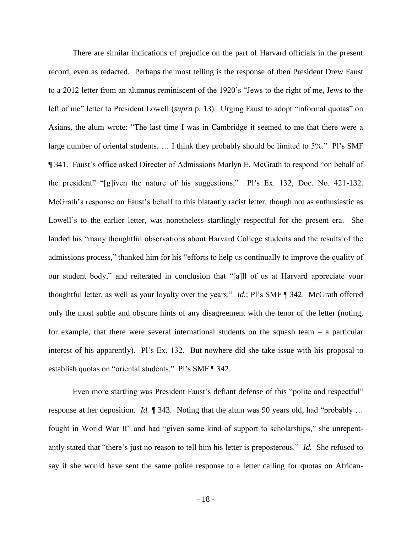There are similar indications of prejudice on the part of Harvard officials in the present record, even as redacted. Perhaps the most telling is the response of then President Drew Faust to a 2012 letter from an alumnus reminiscent of the 1920's "Jews to the right of me, Jews to the left of me" letter to President Lowell (*supra* p. [13\)](#page-16-0). Urging Faust to adopt "informal quotas" on Asians, the alum wrote: "The last time I was in Cambridge it seemed to me that there were a large number of oriental students. … I think they probably should be limited to 5%." Pl's SMF ¶ 341. Faust's office asked Director of Admissions Marlyn E. McGrath to respond "on behalf of the president" "[g]iven the nature of his suggestions." Pl's Ex. 132, Doc. No. 421-132. McGrath's response on Faust's behalf to this blatantly racist letter, though not as enthusiastic as Lowell's to the earlier letter, was nonetheless startlingly respectful for the present era. She lauded his "many thoughtful observations about Harvard College students and the results of the admissions process," thanked him for his "efforts to help us continually to improve the quality of our student body," and reiterated in conclusion that "[a]ll of us at Harvard appreciate your thoughtful letter, as well as your loyalty over the years." *Id.*; Pl's SMF ¶ 342. McGrath offered only the most subtle and obscure hints of any disagreement with the tenor of the letter (noting, for example, that there were several international students on the squash team  $-$  a particular interest of his apparently). Pl's Ex. 132. But nowhere did she take issue with his proposal to establish quotas on "oriental students." Pl's SMF ¶ 342.

Even more startling was President Faust's defiant defense of this "polite and respectful" response at her deposition. *Id.* ¶ 343. Noting that the alum was 90 years old, had "probably … fought in World War II" and had "given some kind of support to scholarships," she unrepentantly stated that "there's just no reason to tell him his letter is preposterous." *Id.* She refused to say if she would have sent the same polite response to a letter calling for quotas on African-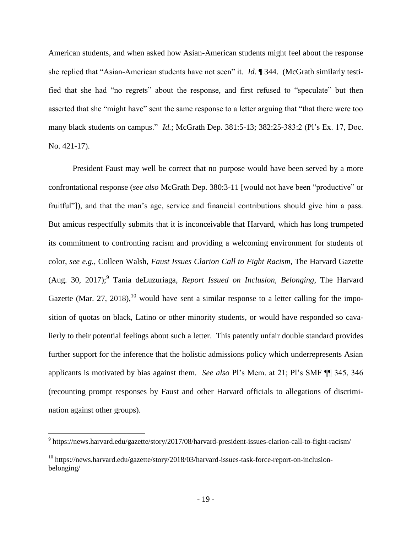American students, and when asked how Asian-American students might feel about the response she replied that "Asian-American students have not seen" it. *Id.* ¶ 344. (McGrath similarly testified that she had "no regrets" about the response, and first refused to "speculate" but then asserted that she "might have" sent the same response to a letter arguing that "that there were too many black students on campus." *Id.*; McGrath Dep. 381:5-13; 382:25-383:2 (Pl's Ex. 17, Doc. No. 421-17).

President Faust may well be correct that no purpose would have been served by a more confrontational response (*see also* McGrath Dep. 380:3-11 [would not have been "productive" or fruitful"]), and that the man's age, service and financial contributions should give him a pass. But amicus respectfully submits that it is inconceivable that Harvard, which has long trumpeted its commitment to confronting racism and providing a welcoming environment for students of color, *see e.g.*, Colleen Walsh, *Faust Issues Clarion Call to Fight Racism*, The Harvard Gazette (Aug. 30, 2017);<sup>9</sup> Tania deLuzuriaga, *Report Issued on Inclusion, Belonging*, The Harvard Gazette (Mar. 27, 2018),  $^{10}$  would have sent a similar response to a letter calling for the imposition of quotas on black, Latino or other minority students, or would have responded so cavalierly to their potential feelings about such a letter. This patently unfair double standard provides further support for the inference that the holistic admissions policy which underrepresents Asian applicants is motivated by bias against them. *See also* Pl's Mem. at 21; Pl's SMF ¶¶ 345, 346 (recounting prompt responses by Faust and other Harvard officials to allegations of discrimination against other groups).

<sup>&</sup>lt;sup>9</sup> https://news.harvard.edu/gazette/story/2017/08/harvard-president-issues-clarion-call-to-fight-racism/

 $^{10}$  https://news.harvard.edu/gazette/story/2018/03/harvard-issues-task-force-report-on-inclusionbelonging/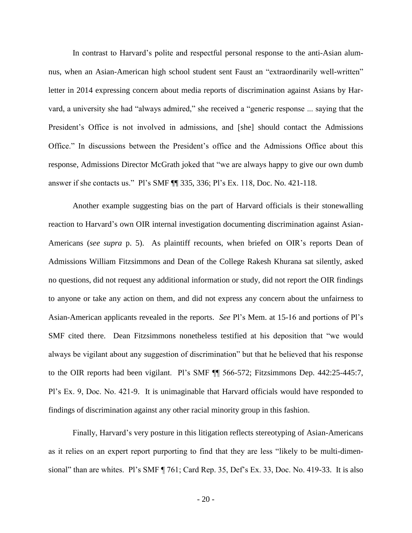In contrast to Harvard's polite and respectful personal response to the anti-Asian alumnus, when an Asian-American high school student sent Faust an "extraordinarily well-written" letter in 2014 expressing concern about media reports of discrimination against Asians by Harvard, a university she had "always admired," she received a "generic response ... saying that the President's Office is not involved in admissions, and [she] should contact the Admissions Office." In discussions between the President's office and the Admissions Office about this response, Admissions Director McGrath joked that "we are always happy to give our own dumb answer if she contacts us." Pl's SMF ¶¶ 335, 336; Pl's Ex. 118, Doc. No. 421-118.

Another example suggesting bias on the part of Harvard officials is their stonewalling reaction to Harvard's own OIR internal investigation documenting discrimination against Asian-Americans (*see supra* p. [5\)](#page-8-0). As plaintiff recounts, when briefed on OIR's reports Dean of Admissions William Fitzsimmons and Dean of the College Rakesh Khurana sat silently, asked no questions, did not request any additional information or study, did not report the OIR findings to anyone or take any action on them, and did not express any concern about the unfairness to Asian-American applicants revealed in the reports. *See* Pl's Mem. at 15-16 and portions of Pl's SMF cited there. Dean Fitzsimmons nonetheless testified at his deposition that "we would always be vigilant about any suggestion of discrimination" but that he believed that his response to the OIR reports had been vigilant. Pl's SMF ¶¶ 566-572; Fitzsimmons Dep. 442:25-445:7, Pl's Ex. 9, Doc. No. 421-9. It is unimaginable that Harvard officials would have responded to findings of discrimination against any other racial minority group in this fashion.

Finally, Harvard's very posture in this litigation reflects stereotyping of Asian-Americans as it relies on an expert report purporting to find that they are less "likely to be multi-dimensional" than are whites. Pl's SMF ¶ 761; Card Rep. 35, Def's Ex. 33, Doc. No. 419-33. It is also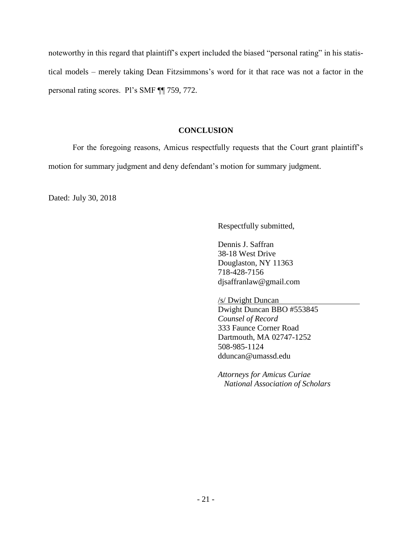noteworthy in this regard that plaintiff's expert included the biased "personal rating" in his statistical models – merely taking Dean Fitzsimmons's word for it that race was not a factor in the personal rating scores. Pl's SMF ¶¶ 759, 772.

## **CONCLUSION**

<span id="page-24-0"></span>For the foregoing reasons, Amicus respectfully requests that the Court grant plaintiff's motion for summary judgment and deny defendant's motion for summary judgment.

Dated: July 30, 2018

Respectfully submitted,

Dennis J. Saffran 38-18 West Drive Douglaston, NY 11363 718-428-7156 djsaffranlaw@gmail.com

/s/ Dwight Duncan

Dwight Duncan BBO #553845 *Counsel of Record* 333 Faunce Corner Road Dartmouth, MA 02747-1252 508-985-1124 dduncan@umassd.edu

*Attorneys for Amicus Curiae National Association of Scholars*